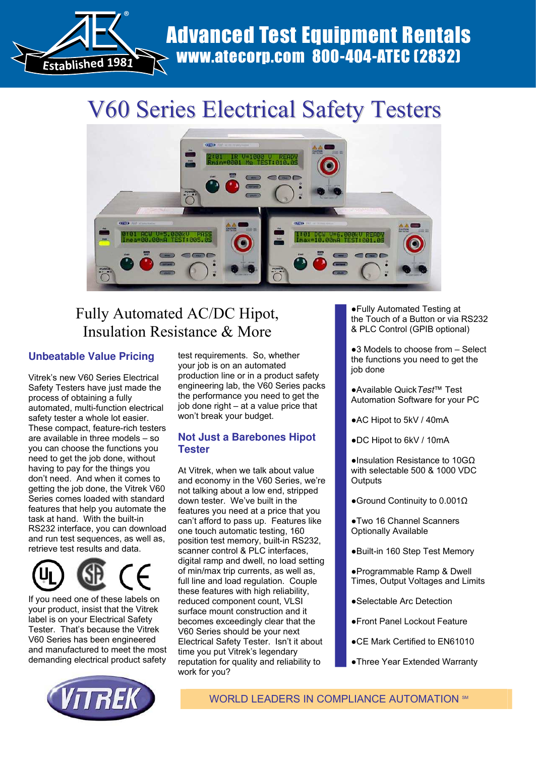

# www.atecorp.com 800-404-ATEC (2832)

## V60 Series Electrical Safety Testers



### Fully Automated AC/DC Hipot, Insulation Resistance & More

#### **Unbeatable Value Pricing**

Vitrek's new V60 Series Electrical Safety Testers have just made the process of obtaining a fully automated, multi-function electrical safety tester a whole lot easier. These compact, feature-rich testers are available in three models – so you can choose the functions you need to get the job done, without having to pay for the things you don't need. And when it comes to getting the job done, the Vitrek V60 Series comes loaded with standard features that help you automate the task at hand. With the built-in RS232 interface, you can download and run test sequences, as well as, retrieve test results and data.



If you need one of these labels on your product, insist that the Vitrek label is on your Electrical Safety Tester. That's because the Vitrek V60 Series has been engineered and manufactured to meet the most demanding electrical product safety

test requirements. So, whether your job is on an automated production line or in a product safety engineering lab, the V60 Series packs the performance you need to get the job done right – at a value price that won't break your budget.

#### **Not Just a Barebones Hipot Tester**

At Vitrek, when we talk about value and economy in the V60 Series, we're not talking about a low end, stripped down tester. We've built in the features you need at a price that you can't afford to pass up. Features like one touch automatic testing, 160 position test memory, built-in RS232, scanner control & PLC interfaces, digital ramp and dwell, no load setting of min/max trip currents, as well as, full line and load regulation. Couple these features with high reliability, reduced component count, VLSI surface mount construction and it becomes exceedingly clear that the V60 Series should be your next Electrical Safety Tester. Isn't it about time you put Vitrek's legendary reputation for quality and reliability to work for you?

ズFully Automated Testing at the Touch of a Button or via RS232 & PLC Control (GPIB optional)

 $\bullet$ 3 Models to choose from  $-$  Select the functions you need to get the job done

- ズAvailable Quick*Test*™ Test Automation Software for your PC
- AC Hipot to 5kV / 40mA
- ●DC Hipot to 6kV / 10mA

 $\bullet$ Insulation Resistance to 10GQ with selectable 500 & 1000 VDC **Outputs** 

- Ground Continuity to  $0.001\Omega$
- **.** Two 16 Channel Scanners Optionally Available
- ●Built-in 160 Step Test Memory
- ズProgrammable Ramp & Dwell Times, Output Voltages and Limits
- Selectable Arc Detection
- ズFront Panel Lockout Feature
- CE Mark Certified to EN61010
- Three Year Extended Warranty